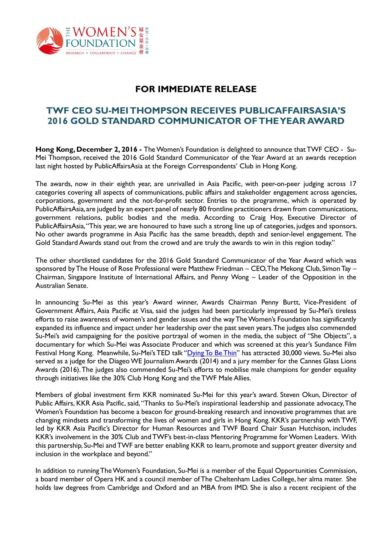

# **FOR IMMEDIATE RELEASE**

# **TWF CEO SU-MEI THOMPSON RECEIVES PUBLICAFFAIRSASIA'S 2016 GOLD STANDARD COMMUNICATOR OF THE YEAR AWARD**

**Hong Kong, December 2, 2016 -** The Women's Foundation is delighted to announce that TWF CEO - Su-Mei Thompson, received the 2016 Gold Standard Communicator of the Year Award at an awards reception last night hosted by PublicAffairsAsia at the Foreign Correspondents' Club in Hong Kong.

The awards, now in their eighth year, are unrivalled in Asia Pacific, with peer-on-peer judging across 17 categories covering all aspects of communications, public affairs and stakeholder engagement across agencies, corporations, government and the not-for-profit sector. Entries to the programme, which is operated by PublicAffairsAsia, are judged by an expert panel of nearly 80 frontline practitioners drawn from communications, government relations, public bodies and the media. According to Craig Hoy, Executive Director of PublicAffairsAsia, "This year, we are honoured to have such a strong line up of categories, judges and sponsors. No other awards programme in Asia Pacific has the same breadth, depth and senior-level engagement. The Gold Standard Awards stand out from the crowd and are truly the awards to win in this region today."

The other shortlisted candidates for the 2016 Gold Standard Communicator of the Year Award which was sponsored by The House of Rose Professional were Matthew Friedman – CEO, The Mekong Club, Simon Tay – Chairman, Singapore Institute of International Affairs, and Penny Wong – Leader of the Opposition in the Australian Senate.

In announcing Su-Mei as this year's Award winner, Awards Chairman Penny Burtt, Vice-President of Government Affairs, Asia Pacific at Visa, said the judges had been particularly impressed by Su-Mei's tireless efforts to raise awareness of women's and gender issues and the way The Women's Foundation has significantly expanded its influence and impact under her leadership over the past seven years.The judges also commended Su-Mei's avid campaigning for the positive portrayal of women in the media, the subject of "She Objects", a documentary for which Su-Mei was Associate Producer and which was screened at this year's Sundance Film Festival Hong Kong. Meanwhile, Su-Mei's TED talk "[Dying To Be Thin](https://www.youtube.com/watch?v=9QHL6IwY0HA)" has attracted 30,000 views. Su-Mei also served as a judge for the Diageo WE Journalism Awards (2014) and a jury member for the Cannes Glass Lions Awards (2016). The judges also commended Su-Mei's efforts to mobilise male champions for gender equality through initiatives like the 30% Club Hong Kong and the TWF Male Allies.

Members of global investment firm KKR nominated Su-Mei for this year's award. Steven Okun, Director of Public Affairs, KKR Asia Pacific, said, "Thanks to Su-Mei's inspirational leadership and passionate advocacy, The Women's Foundation has become a beacon for ground-breaking research and innovative programmes that are changing mindsets and transforming the lives of women and girls in Hong Kong. KKR's partnership with TWF, led by KKR Asia Pacific's Director for Human Resources and TWF Board Chair Susan Hutchison, includes KKR's involvement in the 30% Club and TWF's best-in-class Mentoring Programme for Women Leaders. With this partnership, Su-Mei and TWF are better enabling KKR to learn, promote and support greater diversity and inclusion in the workplace and beyond."

In addition to running The Women's Foundation, Su-Mei is a member of the Equal Opportunities Commission, a board member of Opera HK and a council member of The Cheltenham Ladies College, her alma mater. She holds law degrees from Cambridge and Oxford and an MBA from IMD. She is also a recent recipient of the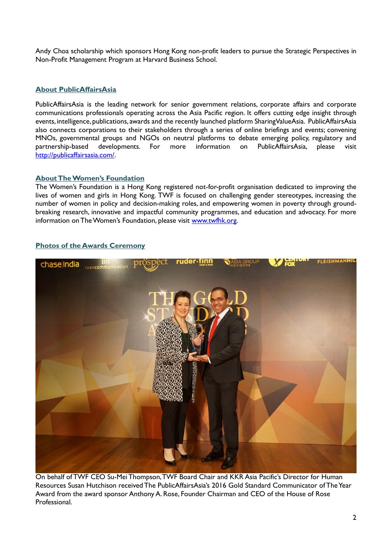Andy Choa scholarship which sponsors Hong Kong non-profit leaders to pursue the Strategic Perspectives in Non-Profit Management Program at Harvard Business School.

#### **About PublicAffairsAsia**

PublicAffairsAsia is the leading network for senior government relations, corporate affairs and corporate communications professionals operating across the Asia Pacific region. It offers cutting edge insight through events, intelligence, publications, awards and the recently launched platform SharingValueAsia. PublicAffairsAsia also connects corporations to their stakeholders through a series of online briefings and events; convening MNOs, governmental groups and NGOs on neutral platforms to debate emerging policy, regulatory and partnership-based developments. For more information on PublicAffairsAsia, please visit [http://publicaffairsasia.com/.](http://publicaffairsasia.com/)

## **About The Women's Foundation**

The Women's Foundation is a Hong Kong registered not-for-profit organisation dedicated to improving the lives of women and girls in Hong Kong. TWF is focused on challenging gender stereotypes, increasing the number of women in policy and decision-making roles, and empowering women in poverty through groundbreaking research, innovative and impactful community programmes, and education and advocacy. For more information on The Women's Foundation, please visit [www.twfhk.org.](http://www.twfhk.org/)

## **Photos of the Awards Ceremony**



On behalf of TWF CEO Su-Mei Thompson, TWF Board Chair and KKR Asia Pacific's Director for Human Resources Susan Hutchison received The PublicAffairsAsia's 2016 Gold Standard Communicator of The Year Award from the award sponsor Anthony A. Rose, Founder Chairman and CEO of the House of Rose Professional.